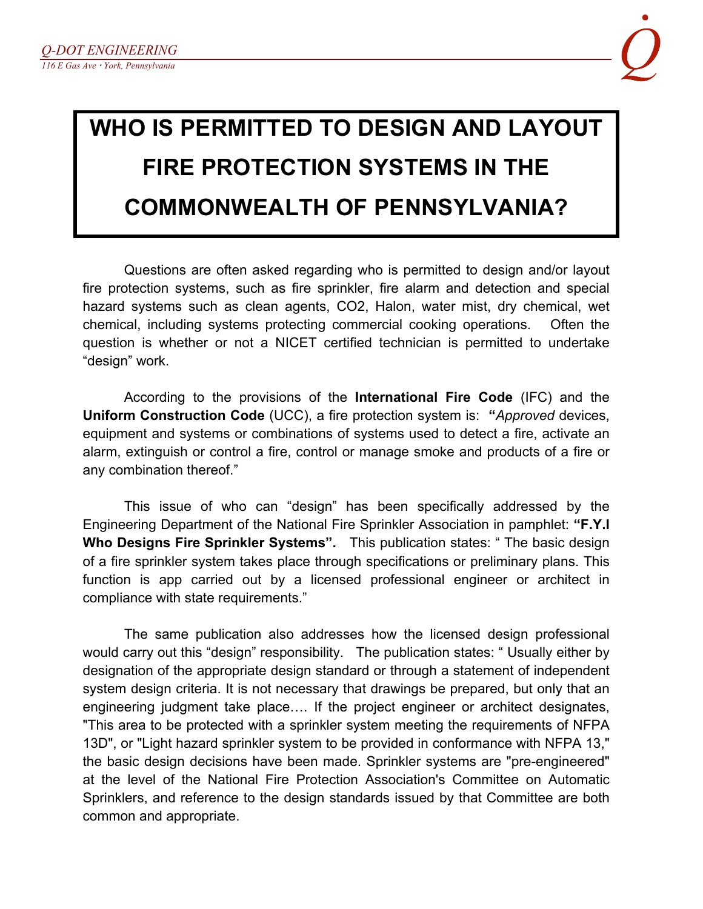## **WHO IS PERMITTED TO DESIGN AND LAYOUT FIRE PROTECTION SYSTEMS IN THE COMMONWEALTH OF PENNSYLVANIA?**

Questions are often asked regarding who is permitted to design and/or layout fire protection systems, such as fire sprinkler, fire alarm and detection and special hazard systems such as clean agents, CO2, Halon, water mist, dry chemical, wet chemical, including systems protecting commercial cooking operations. Often the question is whether or not a NICET certified technician is permitted to undertake "design" work.

According to the provisions of the **International Fire Code** (IFC) and the **Uniform Construction Code** (UCC), a fire protection system is: **"***Approved* devices, equipment and systems or combinations of systems used to detect a fire, activate an alarm, extinguish or control a fire, control or manage smoke and products of a fire or any combination thereof."

This issue of who can "design" has been specifically addressed by the Engineering Department of the National Fire Sprinkler Association in pamphlet: **"F.Y.I Who Designs Fire Sprinkler Systems".** This publication states: " The basic design of a fire sprinkler system takes place through specifications or preliminary plans. This function is app carried out by a licensed professional engineer or architect in compliance with state requirements."

The same publication also addresses how the licensed design professional would carry out this "design" responsibility. The publication states: " Usually either by designation of the appropriate design standard or through a statement of independent system design criteria. It is not necessary that drawings be prepared, but only that an engineering judgment take place…. If the project engineer or architect designates, "This area to be protected with a sprinkler system meeting the requirements of NFPA 13D", or "Light hazard sprinkler system to be provided in conformance with NFPA 13," the basic design decisions have been made. Sprinkler systems are "pre-engineered" at the level of the National Fire Protection Association's Committee on Automatic Sprinklers, and reference to the design standards issued by that Committee are both common and appropriate.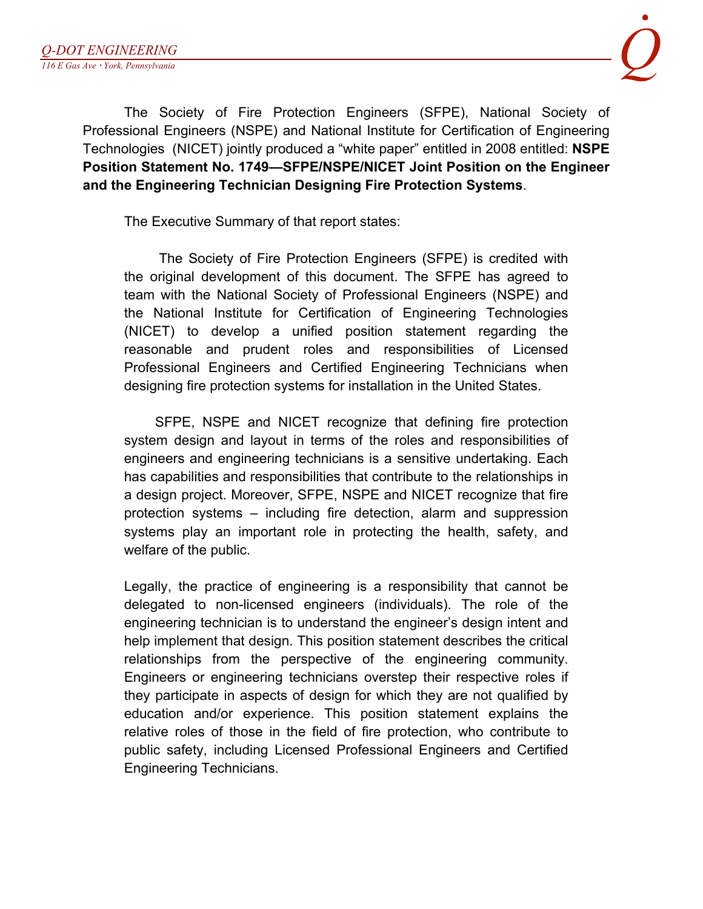The Society of Fire Protection Engineers (SFPE), National Society of Professional Engineers (NSPE) and National Institute for Certification of Engineering Technologies (NICET) jointly produced a "white paper" entitled in 2008 entitled: **NSPE Position Statement No. 1749—SFPE/NSPE/NICET Joint Position on the Engineer and the Engineering Technician Designing Fire Protection Systems**.

The Executive Summary of that report states:

The Society of Fire Protection Engineers (SFPE) is credited with the original development of this document. The SFPE has agreed to team with the National Society of Professional Engineers (NSPE) and the National Institute for Certification of Engineering Technologies (NICET) to develop a unified position statement regarding the reasonable and prudent roles and responsibilities of Licensed Professional Engineers and Certified Engineering Technicians when designing fire protection systems for installation in the United States.

SFPE, NSPE and NICET recognize that defining fire protection system design and layout in terms of the roles and responsibilities of engineers and engineering technicians is a sensitive undertaking. Each has capabilities and responsibilities that contribute to the relationships in a design project. Moreover, SFPE, NSPE and NICET recognize that fire protection systems – including fire detection, alarm and suppression systems play an important role in protecting the health, safety, and welfare of the public.

Legally, the practice of engineering is a responsibility that cannot be delegated to non-licensed engineers (individuals). The role of the engineering technician is to understand the engineer's design intent and help implement that design. This position statement describes the critical relationships from the perspective of the engineering community. Engineers or engineering technicians overstep their respective roles if they participate in aspects of design for which they are not qualified by education and/or experience. This position statement explains the relative roles of those in the field of fire protection, who contribute to public safety, including Licensed Professional Engineers and Certified Engineering Technicians.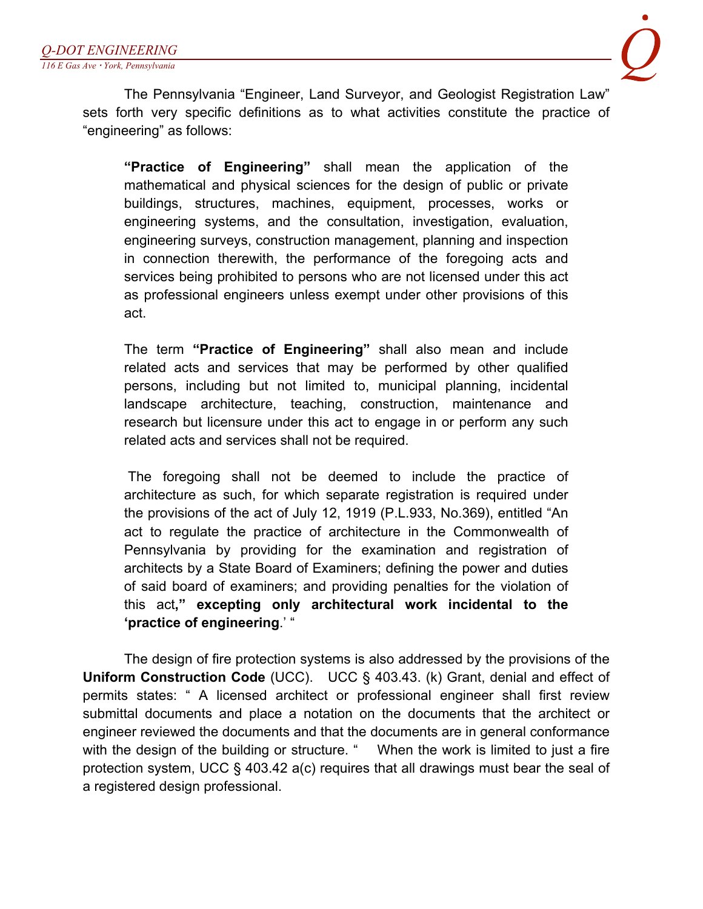

The Pennsylvania "Engineer, Land Surveyor, and Geologist Registration Law" sets forth very specific definitions as to what activities constitute the practice of "engineering" as follows:

**"Practice of Engineering"** shall mean the application of the mathematical and physical sciences for the design of public or private buildings, structures, machines, equipment, processes, works or engineering systems, and the consultation, investigation, evaluation, engineering surveys, construction management, planning and inspection in connection therewith, the performance of the foregoing acts and services being prohibited to persons who are not licensed under this act as professional engineers unless exempt under other provisions of this act.

The term **"Practice of Engineering"** shall also mean and include related acts and services that may be performed by other qualified persons, including but not limited to, municipal planning, incidental landscape architecture, teaching, construction, maintenance and research but licensure under this act to engage in or perform any such related acts and services shall not be required.

The foregoing shall not be deemed to include the practice of architecture as such, for which separate registration is required under the provisions of the act of July 12, 1919 (P.L.933, No.369), entitled "An act to regulate the practice of architecture in the Commonwealth of Pennsylvania by providing for the examination and registration of architects by a State Board of Examiners; defining the power and duties of said board of examiners; and providing penalties for the violation of this act**," excepting only architectural work incidental to the 'practice of engineering**.' "

The design of fire protection systems is also addressed by the provisions of the **Uniform Construction Code** (UCC). UCC § 403.43. (k) Grant, denial and effect of permits states: " A licensed architect or professional engineer shall first review submittal documents and place a notation on the documents that the architect or engineer reviewed the documents and that the documents are in general conformance with the design of the building or structure. " When the work is limited to just a fire protection system, UCC § 403.42 a(c) requires that all drawings must bear the seal of a registered design professional.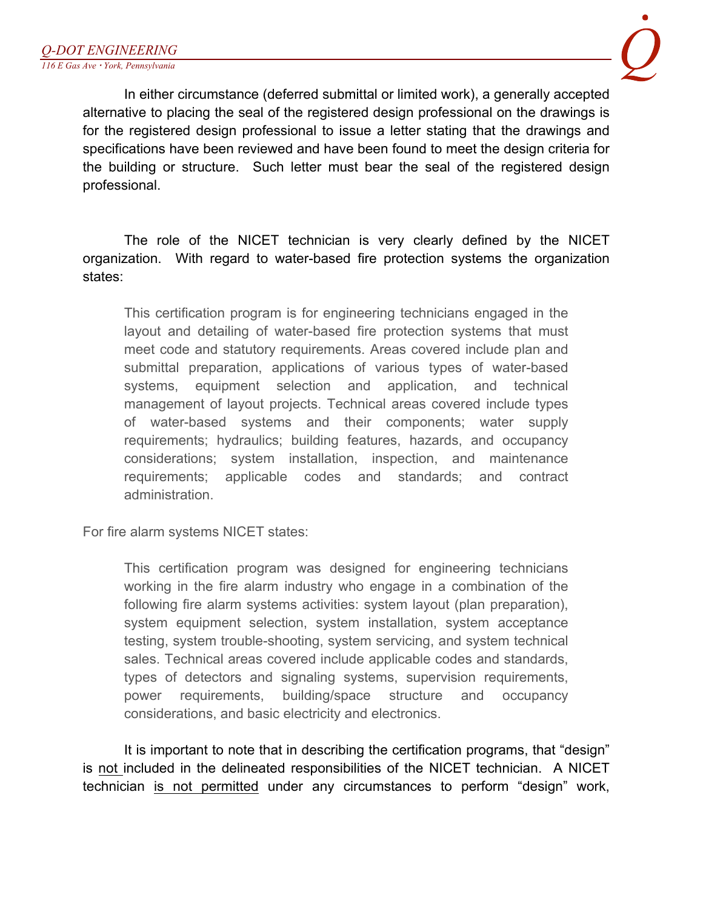

In either circumstance (deferred submittal or limited work), a generally accepted alternative to placing the seal of the registered design professional on the drawings is for the registered design professional to issue a letter stating that the drawings and specifications have been reviewed and have been found to meet the design criteria for the building or structure. Such letter must bear the seal of the registered design professional.

The role of the NICET technician is very clearly defined by the NICET organization. With regard to water-based fire protection systems the organization states:

This certification program is for engineering technicians engaged in the layout and detailing of water-based fire protection systems that must meet code and statutory requirements. Areas covered include plan and submittal preparation, applications of various types of water-based systems, equipment selection and application, and technical management of layout projects. Technical areas covered include types of water-based systems and their components; water supply requirements; hydraulics; building features, hazards, and occupancy considerations; system installation, inspection, and maintenance requirements; applicable codes and standards; and contract administration.

For fire alarm systems NICET states:

This certification program was designed for engineering technicians working in the fire alarm industry who engage in a combination of the following fire alarm systems activities: system layout (plan preparation), system equipment selection, system installation, system acceptance testing, system trouble-shooting, system servicing, and system technical sales. Technical areas covered include applicable codes and standards, types of detectors and signaling systems, supervision requirements, power requirements, building/space structure and occupancy considerations, and basic electricity and electronics.

It is important to note that in describing the certification programs, that "design" is not included in the delineated responsibilities of the NICET technician. A NICET technician is not permitted under any circumstances to perform "design" work,